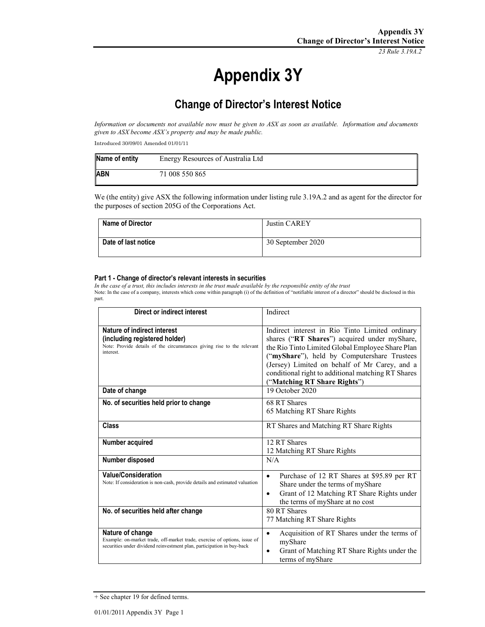*23 Rule 3.19A.2*

# **Appendix 3Y**

# **Change of Director's Interest Notice**

*Information or documents not available now must be given to ASX as soon as available. Information and documents given to ASX become ASX's property and may be made public.* 

Introduced 30/09/01 Amended 01/01/11

| Name of entity | Energy Resources of Australia Ltd |
|----------------|-----------------------------------|
| ABN            | 71 008 550 865                    |

We (the entity) give ASX the following information under listing rule 3.19A.2 and as agent for the director for the purposes of section 205G of the Corporations Act.

| <b>Name of Director</b> | Justin CAREY      |
|-------------------------|-------------------|
| Date of last notice     | 30 September 2020 |

#### **Part 1 - Change of director's relevant interests in securities**

*In the case of a trust, this includes interests in the trust made available by the responsible entity of the trust* Note: In the case of a company, interests which come within paragraph (i) of the definition of "notifiable interest of a director" should be disclosed in this part.

| Direct or indirect interest                                                                                                                                             | Indirect                                                                                                                                                                                                                                                                                                                                  |
|-------------------------------------------------------------------------------------------------------------------------------------------------------------------------|-------------------------------------------------------------------------------------------------------------------------------------------------------------------------------------------------------------------------------------------------------------------------------------------------------------------------------------------|
| Nature of indirect interest<br>(including registered holder)<br>Note: Provide details of the circumstances giving rise to the relevant<br>interest.                     | Indirect interest in Rio Tinto Limited ordinary<br>shares ("RT Shares") acquired under myShare,<br>the Rio Tinto Limited Global Employee Share Plan<br>("myShare"), held by Computershare Trustees<br>(Jersey) Limited on behalf of Mr Carey, and a<br>conditional right to additional matching RT Shares<br>("Matching RT Share Rights") |
| Date of change                                                                                                                                                          | 19 October 2020                                                                                                                                                                                                                                                                                                                           |
| No. of securities held prior to change                                                                                                                                  | 68 RT Shares<br>65 Matching RT Share Rights                                                                                                                                                                                                                                                                                               |
| Class                                                                                                                                                                   | RT Shares and Matching RT Share Rights                                                                                                                                                                                                                                                                                                    |
| Number acquired                                                                                                                                                         | 12 RT Shares<br>12 Matching RT Share Rights                                                                                                                                                                                                                                                                                               |
| Number disposed                                                                                                                                                         | N/A                                                                                                                                                                                                                                                                                                                                       |
| <b>Value/Consideration</b><br>Note: If consideration is non-cash, provide details and estimated valuation                                                               | Purchase of 12 RT Shares at \$95.89 per RT<br>$\bullet$<br>Share under the terms of myShare<br>Grant of 12 Matching RT Share Rights under<br>$\bullet$<br>the terms of myShare at no cost                                                                                                                                                 |
| No. of securities held after change                                                                                                                                     | 80 RT Shares<br>77 Matching RT Share Rights                                                                                                                                                                                                                                                                                               |
| Nature of change<br>Example: on-market trade, off-market trade, exercise of options, issue of<br>securities under dividend reinvestment plan, participation in buy-back | Acquisition of RT Shares under the terms of<br>$\bullet$<br>myShare<br>Grant of Matching RT Share Rights under the<br>terms of myShare                                                                                                                                                                                                    |

<sup>+</sup> See chapter 19 for defined terms.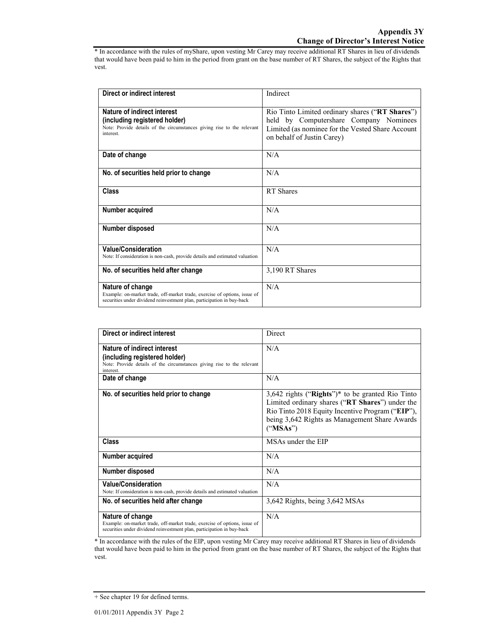\* In accordance with the rules of myShare, upon vesting Mr Carey may receive additional RT Shares in lieu of dividends that would have been paid to him in the period from grant on the base number of RT Shares, the subject of the Rights that vest.

| Direct or indirect interest                                                                                                                                             | Indirect                                                                                                                                                                    |
|-------------------------------------------------------------------------------------------------------------------------------------------------------------------------|-----------------------------------------------------------------------------------------------------------------------------------------------------------------------------|
| Nature of indirect interest<br>(including registered holder)<br>Note: Provide details of the circumstances giving rise to the relevant<br>interest.                     | Rio Tinto Limited ordinary shares ("RT Shares")<br>held by Computershare Company Nominees<br>Limited (as nominee for the Vested Share Account<br>on behalf of Justin Carey) |
| Date of change                                                                                                                                                          | N/A                                                                                                                                                                         |
| No. of securities held prior to change                                                                                                                                  | N/A                                                                                                                                                                         |
| Class                                                                                                                                                                   | RT Shares                                                                                                                                                                   |
| Number acquired                                                                                                                                                         | N/A                                                                                                                                                                         |
| Number disposed                                                                                                                                                         | N/A                                                                                                                                                                         |
| <b>Value/Consideration</b><br>Note: If consideration is non-cash, provide details and estimated valuation                                                               | N/A                                                                                                                                                                         |
| No. of securities held after change                                                                                                                                     | 3,190 RT Shares                                                                                                                                                             |
| Nature of change<br>Example: on-market trade, off-market trade, exercise of options, issue of<br>securities under dividend reinvestment plan, participation in buy-back | N/A                                                                                                                                                                         |

| Direct or indirect interest                                                                                                                                             | Direct                                                                                                                                                                                                                 |
|-------------------------------------------------------------------------------------------------------------------------------------------------------------------------|------------------------------------------------------------------------------------------------------------------------------------------------------------------------------------------------------------------------|
| Nature of indirect interest<br>(including registered holder)<br>Note: Provide details of the circumstances giving rise to the relevant<br>interest.                     | N/A                                                                                                                                                                                                                    |
| Date of change                                                                                                                                                          | N/A                                                                                                                                                                                                                    |
| No. of securities held prior to change                                                                                                                                  | $3,642$ rights ("Rights")* to be granted Rio Tinto<br>Limited ordinary shares ("RT Shares") under the<br>Rio Tinto 2018 Equity Incentive Program ("EIP"),<br>being 3,642 Rights as Management Share Awards<br>("MSAs") |
| Class                                                                                                                                                                   | MSAs under the EIP                                                                                                                                                                                                     |
| Number acquired                                                                                                                                                         | N/A                                                                                                                                                                                                                    |
| Number disposed                                                                                                                                                         | N/A                                                                                                                                                                                                                    |
| <b>Value/Consideration</b><br>Note: If consideration is non-cash, provide details and estimated valuation                                                               | N/A                                                                                                                                                                                                                    |
| No. of securities held after change                                                                                                                                     | 3,642 Rights, being 3,642 MSAs                                                                                                                                                                                         |
| Nature of change<br>Example: on-market trade, off-market trade, exercise of options, issue of<br>securities under dividend reinvestment plan, participation in buy-back | N/A                                                                                                                                                                                                                    |

<sup>1</sup><br>\* In accordance with the rules of the EIP, upon vesting Mr Carey may receive additional RT Shares in lieu of dividends that would have been paid to him in the period from grant on the base number of RT Shares, the subject of the Rights that vest.

<sup>+</sup> See chapter 19 for defined terms.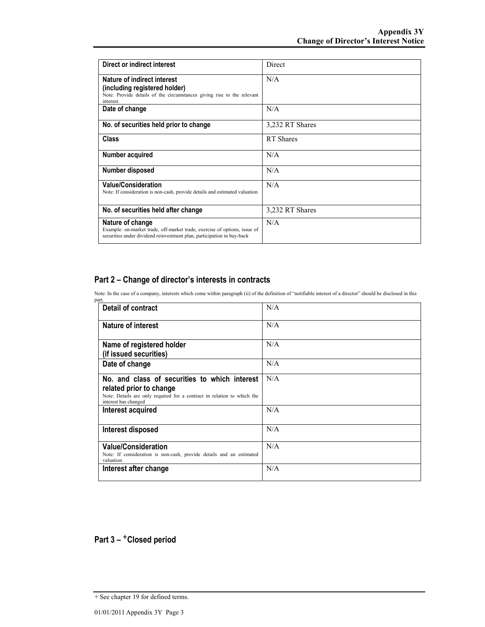| Direct or indirect interest                                                                                                                                             | Direct          |
|-------------------------------------------------------------------------------------------------------------------------------------------------------------------------|-----------------|
| Nature of indirect interest<br>(including registered holder)<br>Note: Provide details of the circumstances giving rise to the relevant<br>interest.                     | N/A             |
| Date of change                                                                                                                                                          | N/A             |
| No. of securities held prior to change                                                                                                                                  | 3,232 RT Shares |
| Class                                                                                                                                                                   | RT Shares       |
| Number acquired                                                                                                                                                         | N/A             |
| Number disposed                                                                                                                                                         | N/A             |
| <b>Value/Consideration</b><br>Note: If consideration is non-cash, provide details and estimated valuation                                                               | N/A             |
| No. of securities held after change                                                                                                                                     | 3,232 RT Shares |
| Nature of change<br>Example: on-market trade, off-market trade, exercise of options, issue of<br>securities under dividend reinvestment plan, participation in buy-back | N/A             |

### **Part 2 – Change of director's interests in contracts**

Note: In the case of a company, interests which come within paragraph (ii) of the definition of "notifiable interest of a director" should be disclosed in this part.

| <b>Detail of contract</b>                                                                                                                                                   | N/A |
|-----------------------------------------------------------------------------------------------------------------------------------------------------------------------------|-----|
| <b>Nature of interest</b>                                                                                                                                                   | N/A |
| Name of registered holder<br>(if issued securities)                                                                                                                         | N/A |
| Date of change                                                                                                                                                              | N/A |
| No. and class of securities to which interest<br>related prior to change<br>Note: Details are only required for a contract in relation to which the<br>interest has changed | N/A |
| Interest acquired                                                                                                                                                           | N/A |
| Interest disposed                                                                                                                                                           | N/A |
| <b>Value/Consideration</b><br>Note: If consideration is non-cash, provide details and an estimated<br>valuation                                                             | N/A |
| Interest after change                                                                                                                                                       | N/A |

## Part 3 – <sup>+</sup>Closed period

<sup>+</sup> See chapter 19 for defined terms.